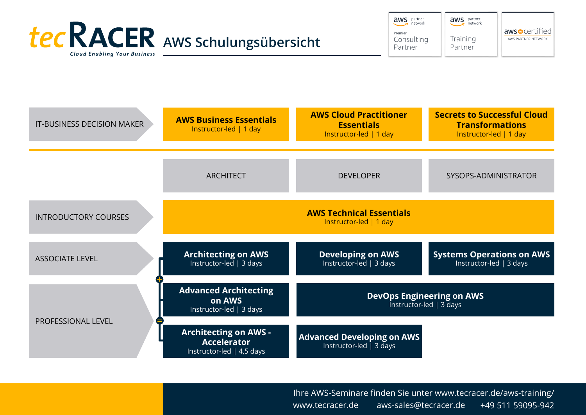

aws partner aws partner network Premier Training Consulting Partner Partner

| IT-BUSINESS DECISION MAKER  | <b>AWS Business Essentials</b><br>Instructor-led   1 day                        | <b>AWS Cloud Practitioner</b><br><b>Essentials</b><br>Instructor-led   1 day | <b>Secrets to Successful Cloud</b><br><b>Transformations</b><br>Instructor-led   1 day |
|-----------------------------|---------------------------------------------------------------------------------|------------------------------------------------------------------------------|----------------------------------------------------------------------------------------|
|                             |                                                                                 |                                                                              |                                                                                        |
|                             | <b>ARCHITECT</b>                                                                | <b>DEVELOPER</b>                                                             | SYSOPS-ADMINISTRATOR                                                                   |
| <b>INTRODUCTORY COURSES</b> | <b>AWS Technical Essentials</b><br>Instructor-led   1 day                       |                                                                              |                                                                                        |
| <b>ASSOCIATE LEVEL</b>      | <b>Architecting on AWS</b><br>Instructor-led $\vert$ 3 days                     | <b>Developing on AWS</b><br>Instructor-led   3 days                          | <b>Systems Operations on AWS</b><br>Instructor-led   3 days                            |
| PROFESSIONAL LEVEL          | <b>Advanced Architecting</b><br>on AWS<br>Instructor-led   3 days               | <b>DevOps Engineering on AWS</b><br>Instructor-led   3 days                  |                                                                                        |
|                             | <b>Architecting on AWS -</b><br><b>Accelerator</b><br>Instructor-led   4,5 days | <b>Advanced Developing on AWS</b><br>Instructor-led $\overline{)}$ 3 days    |                                                                                        |

Ihre AWS-Seminare finden Sie unter www.tecracer.de/aws-training/ www.tecracer.de aws-sales@tecracer.de +49 511 59095-942